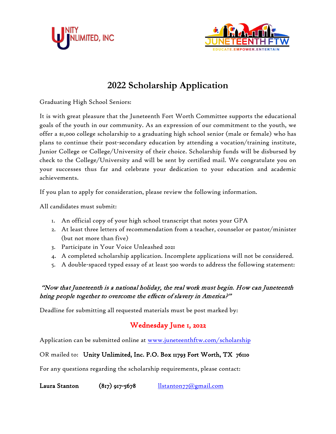



## **2022 Scholarship Application**

Graduating High School Seniors:

It is with great pleasure that the Juneteenth Fort Worth Committee supports the educational goals of the youth in our community. As an expression of our commitment to the youth, we offer a \$1,000 college scholarship to a graduating high school senior (male or female) who has plans to continue their post-secondary education by attending a vocation/training institute, Junior College or College/University of their choice. Scholarship funds will be disbursed by check to the College/University and will be sent by certified mail. We congratulate you on your successes thus far and celebrate your dedication to your education and academic achievements.

If you plan to apply for consideration, please review the following information.

All candidates must submit:

- 1. An official copy of your high school transcript that notes your GPA
- 2. At least three letters of recommendation from a teacher, counselor or pastor/minister (but not more than five)
- 3. Participate in Your Voice Unleashed 2021
- 4. A completed scholarship application. Incomplete applications will not be considered.
- 5. A double-spaced typed essay of at least 500 words to address the following statement:

#### "Now that Juneteenth is a national holiday, the real work must begin. How can Juneteenth bring people together to overcome the effects of slavery in America?"

Deadline for submitting all requested materials must be post marked by:

### Wednesday June 1, 2022

Application can be submitted online at [www.juneteenthftw.com/scholarship](http://www.juneteenthftw.com/scholarship)

#### OR mailed to: Unity Unlimited, Inc. P.O. Box 11793 Fort Worth, TX 76110

For any questions regarding the scholarship requirements, please contact:

Laura Stanton  $(817)$  917-5678 [llstanton77@gmail.com](mailto:llstanton77@gmail.com)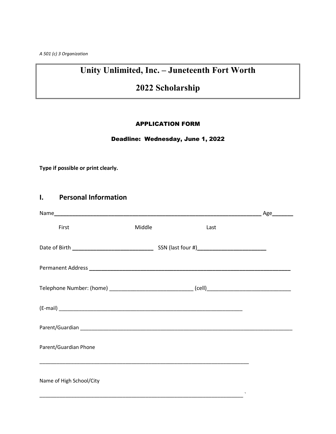*A 501 (c) 3 Organization*

## **Unity Unlimited, Inc. – Juneteenth Fort Worth**

## **2022 Scholarship**

#### APPLICATION FORM

#### Deadline: Wednesday, June 1, 2022

**Type if possible or print clearly.**

#### **I. Personal Information**

| First                                                                                               | Middle | Last |                           |
|-----------------------------------------------------------------------------------------------------|--------|------|---------------------------|
|                                                                                                     |        |      |                           |
|                                                                                                     |        |      |                           |
| Telephone Number: (home) __________________________________(cell)__________________________________ |        |      |                           |
|                                                                                                     |        |      |                           |
|                                                                                                     |        |      |                           |
| Parent/Guardian Phone                                                                               |        |      |                           |
| Name of High School/City                                                                            |        |      | $\boldsymbol{\mathsf{v}}$ |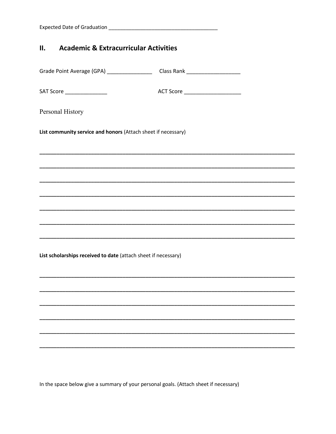| <b>Expected Date of Graduation</b> |
|------------------------------------|
|------------------------------------|

#### **Academic & Extracurricular Activities** II.

Grade Point Average (GPA) \_\_\_\_\_\_\_\_\_\_\_\_\_\_\_\_\_\_\_\_\_\_\_\_Class Rank \_\_\_\_\_\_\_\_\_\_\_\_\_\_\_\_\_\_\_ SAT Score \_\_\_\_\_\_\_\_\_\_\_\_\_\_\_\_\_ ACT Score \_\_\_\_\_\_\_\_\_\_\_\_\_\_\_\_\_\_\_\_\_\_\_\_ Personal History List community service and honors (Attach sheet if necessary) List scholarships received to date (attach sheet if necessary)

In the space below give a summary of your personal goals. (Attach sheet if necessary)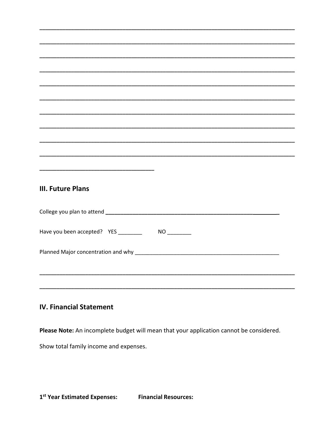# **III. Future Plans**

| Have you been accepted? YES _______<br>NO. |  |
|--------------------------------------------|--|
|                                            |  |
|                                            |  |

#### **IV. Financial Statement**

Please Note: An incomplete budget will mean that your application cannot be considered.

Show total family income and expenses.